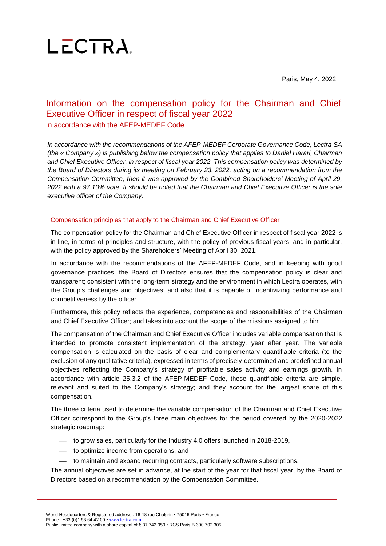

Paris, May 4, 2022

### Information on the compensation policy for the Chairman and Chief Executive Officer in respect of fiscal year 2022 In accordance with the AFEP-MEDEF Code

*In accordance with the recommendations of the AFEP-MEDEF Corporate Governance Code, Lectra SA (the « Company ») is publishing below the compensation policy that applies to Daniel Harari, Chairman and Chief Executive Officer, in respect of fiscal year 2022. This compensation policy was determined by the Board of Directors during its meeting on February 23, 2022, acting on a recommendation from the Compensation Committee, then it was approved by the Combined Shareholders' Meeting of April 29, 2022 with a 97.10% vote. It should be noted that the Chairman and Chief Executive Officer is the sole executive officer of the Company.*

#### Compensation principles that apply to the Chairman and Chief Executive Officer

The compensation policy for the Chairman and Chief Executive Officer in respect of fiscal year 2022 is in line, in terms of principles and structure, with the policy of previous fiscal years, and in particular, with the policy approved by the Shareholders' Meeting of April 30, 2021.

In accordance with the recommendations of the AFEP-MEDEF Code, and in keeping with good governance practices, the Board of Directors ensures that the compensation policy is clear and transparent; consistent with the long-term strategy and the environment in which Lectra operates, with the Group's challenges and objectives; and also that it is capable of incentivizing performance and competitiveness by the officer.

Furthermore, this policy reflects the experience, competencies and responsibilities of the Chairman and Chief Executive Officer; and takes into account the scope of the missions assigned to him.

The compensation of the Chairman and Chief Executive Officer includes variable compensation that is intended to promote consistent implementation of the strategy, year after year. The variable compensation is calculated on the basis of clear and complementary quantifiable criteria (to the exclusion of any qualitative criteria), expressed in terms of precisely-determined and predefined annual objectives reflecting the Company's strategy of profitable sales activity and earnings growth. In accordance with article 25.3.2 of the AFEP-MEDEF Code, these quantifiable criteria are simple, relevant and suited to the Company's strategy; and they account for the largest share of this compensation.

The three criteria used to determine the variable compensation of the Chairman and Chief Executive Officer correspond to the Group's three main objectives for the period covered by the 2020-2022 strategic roadmap:

- to grow sales, particularly for the Industry 4.0 offers launched in 2018-2019,
- to optimize income from operations, and
- $-$  to maintain and expand recurring contracts, particularly software subscriptions.

The annual objectives are set in advance, at the start of the year for that fiscal year, by the Board of Directors based on a recommendation by the Compensation Committee.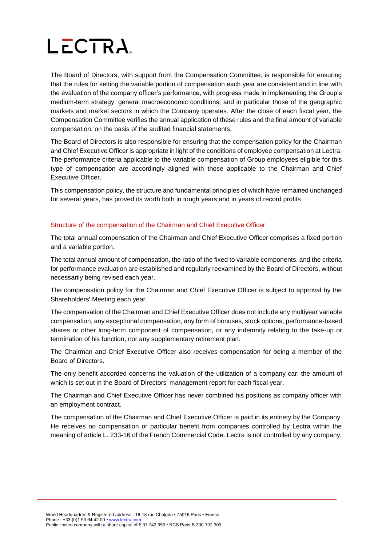The Board of Directors, with support from the Compensation Committee, is responsible for ensuring that the rules for setting the variable portion of compensation each year are consistent and in line with the evaluation of the company officer's performance, with progress made in implementing the Group's medium-term strategy, general macroeconomic conditions, and in particular those of the geographic markets and market sectors in which the Company operates. After the close of each fiscal year, the Compensation Committee verifies the annual application of these rules and the final amount of variable compensation, on the basis of the audited financial statements.

The Board of Directors is also responsible for ensuring that the compensation policy for the Chairman and Chief Executive Officer is appropriate in light of the conditions of employee compensation at Lectra. The performance criteria applicable to the variable compensation of Group employees eligible for this type of compensation are accordingly aligned with those applicable to the Chairman and Chief Executive Officer.

This compensation policy, the structure and fundamental principles of which have remained unchanged for several years, has proved its worth both in tough years and in years of record profits.

#### Structure of the compensation of the Chairman and Chief Executive Officer

The total annual compensation of the Chairman and Chief Executive Officer comprises a fixed portion and a variable portion.

The total annual amount of compensation, the ratio of the fixed to variable components, and the criteria for performance evaluation are established and regularly reexamined by the Board of Directors, without necessarily being revised each year.

The compensation policy for the Chairman and Chief Executive Officer is subject to approval by the Shareholders' Meeting each year.

The compensation of the Chairman and Chief Executive Officer does not include any multiyear variable compensation, any exceptional compensation, any form of bonuses, stock options, performance-based shares or other long-term component of compensation, or any indemnity relating to the take-up or termination of his function, nor any supplementary retirement plan.

The Chairman and Chief Executive Officer also receives compensation for being a member of the Board of Directors.

The only benefit accorded concerns the valuation of the utilization of a company car; the amount of which is set out in the Board of Directors' management report for each fiscal year.

The Chairman and Chief Executive Officer has never combined his positions as company officer with an employment contract.

The compensation of the Chairman and Chief Executive Officer is paid in its entirety by the Company. He receives no compensation or particular benefit from companies controlled by Lectra within the meaning of article L. 233-16 of the French Commercial Code. Lectra is not controlled by any company.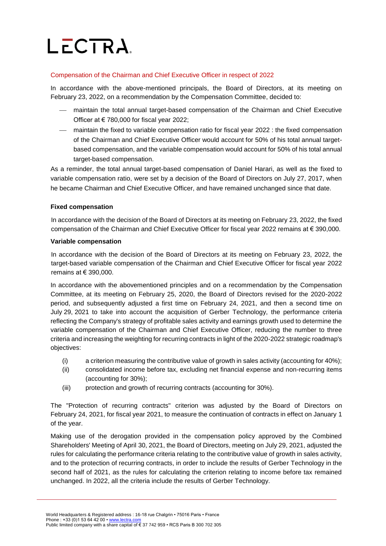#### Compensation of the Chairman and Chief Executive Officer in respect of 2022

In accordance with the above-mentioned principals, the Board of Directors, at its meeting on February 23, 2022, on a recommendation by the Compensation Committee, decided to:

- maintain the total annual target-based compensation of the Chairman and Chief Executive Officer at € 780,000 for fiscal year 2022;
- maintain the fixed to variable compensation ratio for fiscal year 2022 : the fixed compensation of the Chairman and Chief Executive Officer would account for 50% of his total annual targetbased compensation, and the variable compensation would account for 50% of his total annual target-based compensation.

As a reminder, the total annual target-based compensation of Daniel Harari, as well as the fixed to variable compensation ratio, were set by a decision of the Board of Directors on July 27, 2017, when he became Chairman and Chief Executive Officer, and have remained unchanged since that date.

#### **Fixed compensation**

In accordance with the decision of the Board of Directors at its meeting on February 23, 2022, the fixed compensation of the Chairman and Chief Executive Officer for fiscal year 2022 remains at € 390,000.

#### **Variable compensation**

In accordance with the decision of the Board of Directors at its meeting on February 23, 2022, the target-based variable compensation of the Chairman and Chief Executive Officer for fiscal year 2022 remains at € 390,000.

In accordance with the abovementioned principles and on a recommendation by the Compensation Committee, at its meeting on February 25, 2020, the Board of Directors revised for the 2020-2022 period, and subsequently adjusted a first time on February 24, 2021, and then a second time on July 29, 2021 to take into account the acquisition of Gerber Technology, the performance criteria reflecting the Company's strategy of profitable sales activity and earnings growth used to determine the variable compensation of the Chairman and Chief Executive Officer, reducing the number to three criteria and increasing the weighting for recurring contracts in light of the 2020-2022 strategic roadmap's objectives:

- (i) a criterion measuring the contributive value of growth in sales activity (accounting for 40%);
- (ii) consolidated income before tax, excluding net financial expense and non-recurring items (accounting for 30%);
- (iii) protection and growth of recurring contracts (accounting for 30%).

The "Protection of recurring contracts" criterion was adjusted by the Board of Directors on February 24, 2021, for fiscal year 2021, to measure the continuation of contracts in effect on January 1 of the year.

Making use of the derogation provided in the compensation policy approved by the Combined Shareholders' Meeting of April 30, 2021, the Board of Directors, meeting on July 29, 2021, adjusted the rules for calculating the performance criteria relating to the contributive value of growth in sales activity, and to the protection of recurring contracts, in order to include the results of Gerber Technology in the second half of 2021, as the rules for calculating the criterion relating to income before tax remained unchanged. In 2022, all the criteria include the results of Gerber Technology.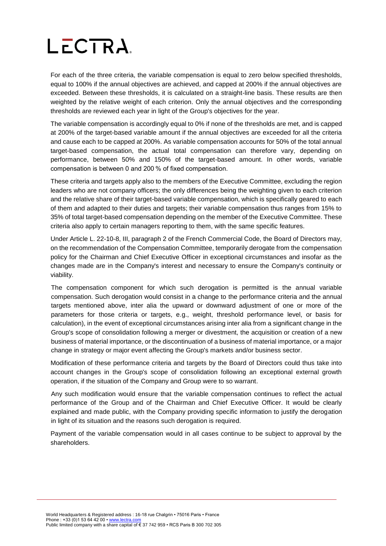For each of the three criteria, the variable compensation is equal to zero below specified thresholds, equal to 100% if the annual objectives are achieved, and capped at 200% if the annual objectives are exceeded. Between these thresholds, it is calculated on a straight-line basis. These results are then weighted by the relative weight of each criterion. Only the annual objectives and the corresponding thresholds are reviewed each year in light of the Group's objectives for the year.

The variable compensation is accordingly equal to 0% if none of the thresholds are met, and is capped at 200% of the target-based variable amount if the annual objectives are exceeded for all the criteria and cause each to be capped at 200%. As variable compensation accounts for 50% of the total annual target-based compensation, the actual total compensation can therefore vary, depending on performance, between 50% and 150% of the target-based amount. In other words, variable compensation is between 0 and 200 % of fixed compensation.

These criteria and targets apply also to the members of the Executive Committee, excluding the region leaders who are not company officers; the only differences being the weighting given to each criterion and the relative share of their target-based variable compensation, which is specifically geared to each of them and adapted to their duties and targets; their variable compensation thus ranges from 15% to 35% of total target-based compensation depending on the member of the Executive Committee. These criteria also apply to certain managers reporting to them, with the same specific features.

Under Article L. 22-10-8, III, paragraph 2 of the French Commercial Code, the Board of Directors may, on the recommendation of the Compensation Committee, temporarily derogate from the compensation policy for the Chairman and Chief Executive Officer in exceptional circumstances and insofar as the changes made are in the Company's interest and necessary to ensure the Company's continuity or viability.

The compensation component for which such derogation is permitted is the annual variable compensation. Such derogation would consist in a change to the performance criteria and the annual targets mentioned above, inter alia the upward or downward adjustment of one or more of the parameters for those criteria or targets, e.g., weight, threshold performance level, or basis for calculation), in the event of exceptional circumstances arising inter alia from a significant change in the Group's scope of consolidation following a merger or divestment, the acquisition or creation of a new business of material importance, or the discontinuation of a business of material importance, or a major change in strategy or major event affecting the Group's markets and/or business sector.

Modification of these performance criteria and targets by the Board of Directors could thus take into account changes in the Group's scope of consolidation following an exceptional external growth operation, if the situation of the Company and Group were to so warrant.

Any such modification would ensure that the variable compensation continues to reflect the actual performance of the Group and of the Chairman and Chief Executive Officer. It would be clearly explained and made public, with the Company providing specific information to justify the derogation in light of its situation and the reasons such derogation is required.

Payment of the variable compensation would in all cases continue to be subject to approval by the shareholders.